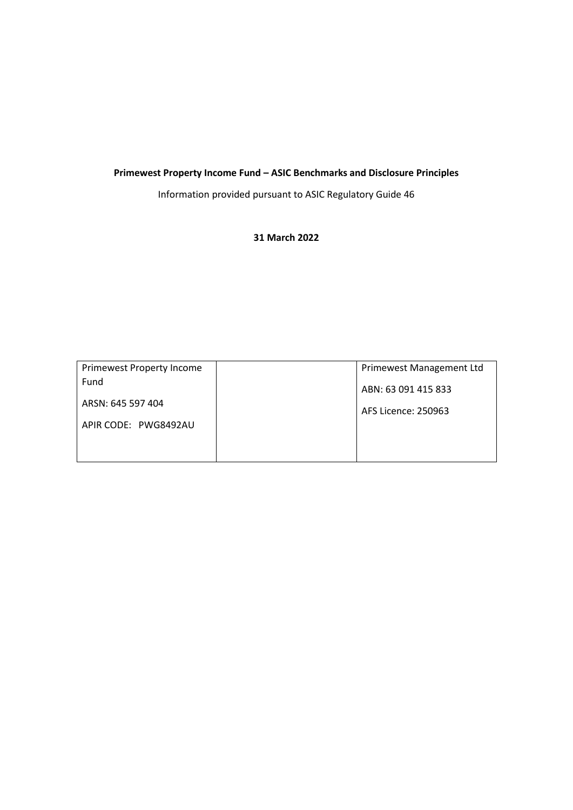# **Primewest Property Income Fund – ASIC Benchmarks and Disclosure Principles**

Information provided pursuant to ASIC Regulatory Guide 46

# **31 March 2022**

| Primewest Property Income | Primewest Management Ltd |
|---------------------------|--------------------------|
| Fund                      | ABN: 63 091 415 833      |
| ARSN: 645 597 404         | AFS Licence: 250963      |
| APIR CODE: PWG8492AU      |                          |
|                           |                          |
|                           |                          |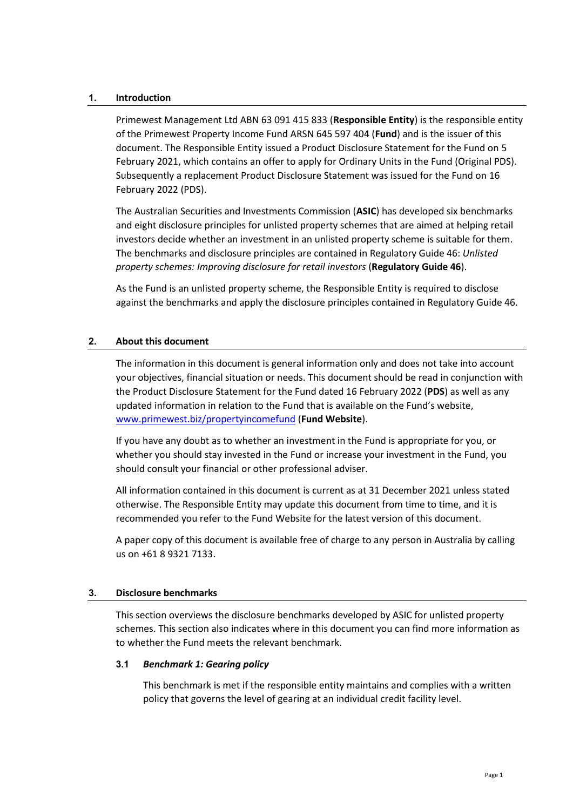### **1. Introduction**

Primewest Management Ltd ABN 63 091 415 833 (**Responsible Entity**) is the responsible entity of the Primewest Property Income Fund ARSN 645 597 404 (**Fund**) and is the issuer of this document. The Responsible Entity issued a Product Disclosure Statement for the Fund on 5 February 2021, which contains an offer to apply for Ordinary Units in the Fund (Original PDS). Subsequently a replacement Product Disclosure Statement was issued for the Fund on 16 February 2022 (PDS).

The Australian Securities and Investments Commission (**ASIC**) has developed six benchmarks and eight disclosure principles for unlisted property schemes that are aimed at helping retail investors decide whether an investment in an unlisted property scheme is suitable for them. The benchmarks and disclosure principles are contained in Regulatory Guide 46: *Unlisted property schemes: Improving disclosure for retail investors* (**Regulatory Guide 46**).

As the Fund is an unlisted property scheme, the Responsible Entity is required to disclose against the benchmarks and apply the disclosure principles contained in Regulatory Guide 46.

# **2. About this document**

The information in this document is general information only and does not take into account your objectives, financial situation or needs. This document should be read in conjunction with the Product Disclosure Statement for the Fund dated 16 February 2022 (**PDS**) as well as any updated information in relation to the Fund that is available on the Fund's website, [www.primewest.biz/propertyincomefund](http://www.primewest.biz/propertyincomefund) (**Fund Website**).

If you have any doubt as to whether an investment in the Fund is appropriate for you, or whether you should stay invested in the Fund or increase your investment in the Fund, you should consult your financial or other professional adviser.

All information contained in this document is current as at 31 December 2021 unless stated otherwise. The Responsible Entity may update this document from time to time, and it is recommended you refer to the Fund Website for the latest version of this document.

A paper copy of this document is available free of charge to any person in Australia by calling us on +61 8 9321 7133.

### **3. Disclosure benchmarks**

This section overviews the disclosure benchmarks developed by ASIC for unlisted property schemes. This section also indicates where in this document you can find more information as to whether the Fund meets the relevant benchmark.

### **3.1** *Benchmark 1: Gearing policy*

This benchmark is met if the responsible entity maintains and complies with a written policy that governs the level of gearing at an individual credit facility level.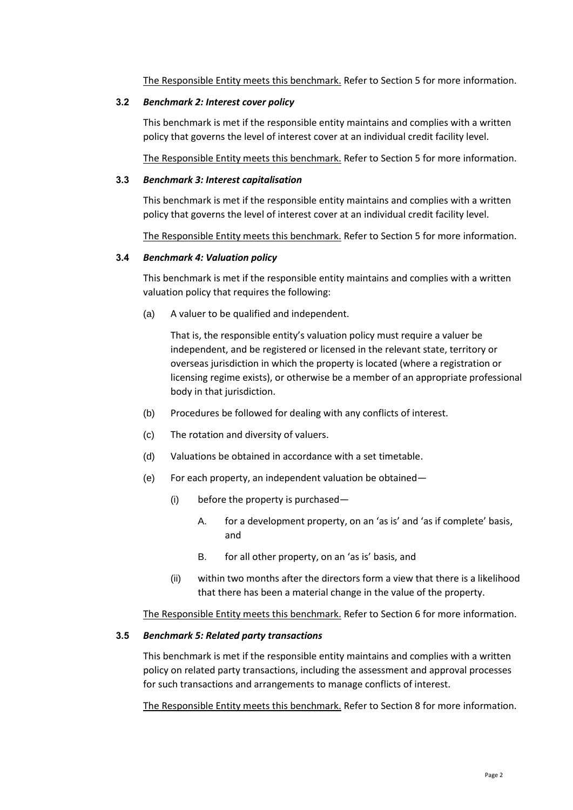The Responsible Entity meets this benchmark. Refer to Section [5](#page-8-0) for more information.

#### **3.2** *Benchmark 2: Interest cover policy*

This benchmark is met if the responsible entity maintains and complies with a written policy that governs the level of interest cover at an individual credit facility level.

The Responsible Entity meets this benchmark. Refer to Section [5](#page-8-0) for more information.

### **3.3** *Benchmark 3: Interest capitalisation*

This benchmark is met if the responsible entity maintains and complies with a written policy that governs the level of interest cover at an individual credit facility level.

The Responsible Entity meets this benchmark. Refer to Section [5](#page-8-0) for more information.

# **3.4** *Benchmark 4: Valuation policy*

This benchmark is met if the responsible entity maintains and complies with a written valuation policy that requires the following:

(a) A valuer to be qualified and independent.

That is, the responsible entity's valuation policy must require a valuer be independent, and be registered or licensed in the relevant state, territory or overseas jurisdiction in which the property is located (where a registration or licensing regime exists), or otherwise be a member of an appropriate professional body in that jurisdiction.

- (b) Procedures be followed for dealing with any conflicts of interest.
- (c) The rotation and diversity of valuers.
- (d) Valuations be obtained in accordance with a set timetable.
- (e) For each property, an independent valuation be obtained—
	- (i) before the property is purchased—
		- A. for a development property, on an 'as is' and 'as if complete' basis, and
		- B. for all other property, on an 'as is' basis, and
	- (ii) within two months after the directors form a view that there is a likelihood that there has been a material change in the value of the property.

The Responsible Entity meets this benchmark. Refer to Section [6](#page-10-0) for more information.

### **3.5** *Benchmark 5: Related party transactions*

This benchmark is met if the responsible entity maintains and complies with a written policy on related party transactions, including the assessment and approval processes for such transactions and arrangements to manage conflicts of interest.

The Responsible Entity meets this benchmark. Refer to Section 8 for more information.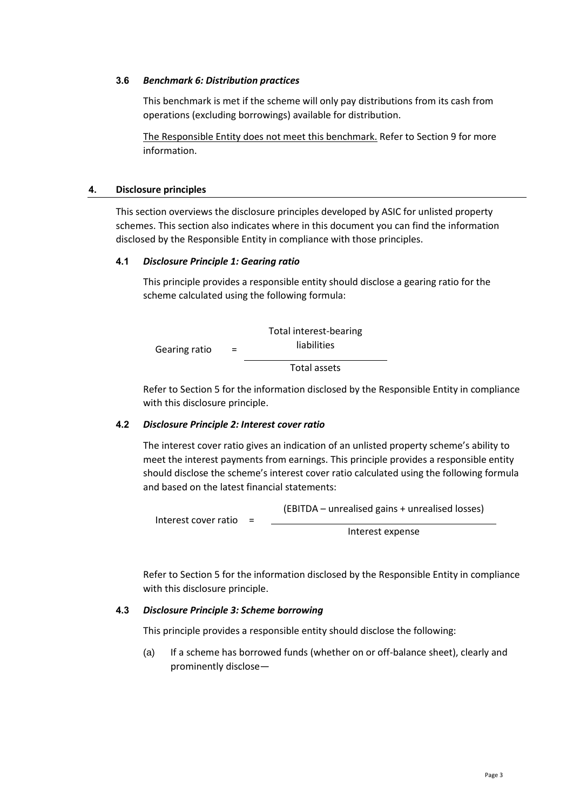#### **3.6** *Benchmark 6: Distribution practices*

This benchmark is met if the scheme will only pay distributions from its cash from operations (excluding borrowings) available for distribution.

The Responsible Entity does not meet this benchmark. Refer to Sectio[n 9](#page-14-0) for more information.

#### **4. Disclosure principles**

This section overviews the disclosure principles developed by ASIC for unlisted property schemes. This section also indicates where in this document you can find the information disclosed by the Responsible Entity in compliance with those principles.

#### **4.1** *Disclosure Principle 1: Gearing ratio*

This principle provides a responsible entity should disclose a gearing ratio for the scheme calculated using the following formula:



Refer to Section [5](#page-8-0) for the information disclosed by the Responsible Entity in compliance with this disclosure principle.

#### **4.2** *Disclosure Principle 2: Interest cover ratio*

The interest cover ratio gives an indication of an unlisted property scheme's ability to meet the interest payments from earnings. This principle provides a responsible entity should disclose the scheme's interest cover ratio calculated using the following formula and based on the latest financial statements:

Interest cover ratio = (EBITDA – unrealised gains + unrealised losses)

Interest expense

Refer to Section [5](#page-8-0) for the information disclosed by the Responsible Entity in compliance with this disclosure principle.

### **4.3** *Disclosure Principle 3: Scheme borrowing*

This principle provides a responsible entity should disclose the following:

(a) If a scheme has borrowed funds (whether on or off-balance sheet), clearly and prominently disclose—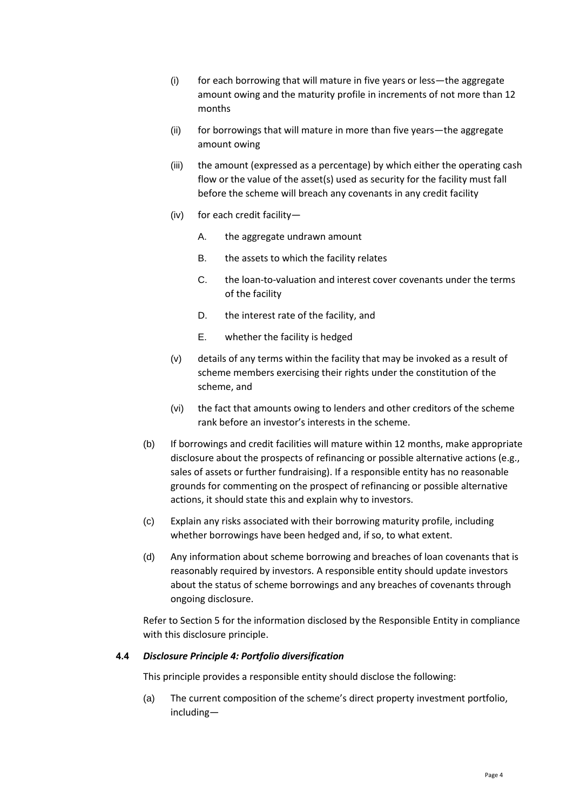- (i) for each borrowing that will mature in five years or less—the aggregate amount owing and the maturity profile in increments of not more than 12 months
- (ii) for borrowings that will mature in more than five years—the aggregate amount owing
- (iii) the amount (expressed as a percentage) by which either the operating cash flow or the value of the asset(s) used as security for the facility must fall before the scheme will breach any covenants in any credit facility
- (iv) for each credit facility—
	- A. the aggregate undrawn amount
	- B. the assets to which the facility relates
	- C. the loan-to-valuation and interest cover covenants under the terms of the facility
	- D. the interest rate of the facility, and
	- E. whether the facility is hedged
- (v) details of any terms within the facility that may be invoked as a result of scheme members exercising their rights under the constitution of the scheme, and
- (vi) the fact that amounts owing to lenders and other creditors of the scheme rank before an investor's interests in the scheme.
- (b) If borrowings and credit facilities will mature within 12 months, make appropriate disclosure about the prospects of refinancing or possible alternative actions (e.g., sales of assets or further fundraising). If a responsible entity has no reasonable grounds for commenting on the prospect of refinancing or possible alternative actions, it should state this and explain why to investors.
- (c) Explain any risks associated with their borrowing maturity profile, including whether borrowings have been hedged and, if so, to what extent.
- (d) Any information about scheme borrowing and breaches of loan covenants that is reasonably required by investors. A responsible entity should update investors about the status of scheme borrowings and any breaches of covenants through ongoing disclosure.

Refer to Section [5](#page-8-0) for the information disclosed by the Responsible Entity in compliance with this disclosure principle.

### **4.4** *Disclosure Principle 4: Portfolio diversification*

This principle provides a responsible entity should disclose the following:

(a) The current composition of the scheme's direct property investment portfolio, including—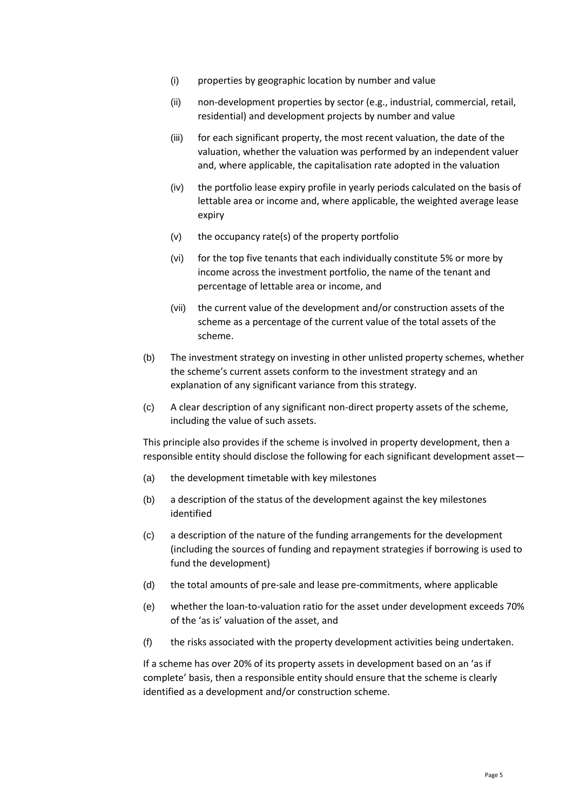- (i) properties by geographic location by number and value
- (ii) non-development properties by sector (e.g., industrial, commercial, retail, residential) and development projects by number and value
- (iii) for each significant property, the most recent valuation, the date of the valuation, whether the valuation was performed by an independent valuer and, where applicable, the capitalisation rate adopted in the valuation
- (iv) the portfolio lease expiry profile in yearly periods calculated on the basis of lettable area or income and, where applicable, the weighted average lease expiry
- (v) the occupancy rate(s) of the property portfolio
- (vi) for the top five tenants that each individually constitute 5% or more by income across the investment portfolio, the name of the tenant and percentage of lettable area or income, and
- (vii) the current value of the development and/or construction assets of the scheme as a percentage of the current value of the total assets of the scheme.
- (b) The investment strategy on investing in other unlisted property schemes, whether the scheme's current assets conform to the investment strategy and an explanation of any significant variance from this strategy.
- (c) A clear description of any significant non-direct property assets of the scheme, including the value of such assets.

This principle also provides if the scheme is involved in property development, then a responsible entity should disclose the following for each significant development asset—

- (a) the development timetable with key milestones
- (b) a description of the status of the development against the key milestones identified
- (c) a description of the nature of the funding arrangements for the development (including the sources of funding and repayment strategies if borrowing is used to fund the development)
- (d) the total amounts of pre-sale and lease pre-commitments, where applicable
- (e) whether the loan-to-valuation ratio for the asset under development exceeds 70% of the 'as is' valuation of the asset, and
- (f) the risks associated with the property development activities being undertaken.

If a scheme has over 20% of its property assets in development based on an 'as if complete' basis, then a responsible entity should ensure that the scheme is clearly identified as a development and/or construction scheme.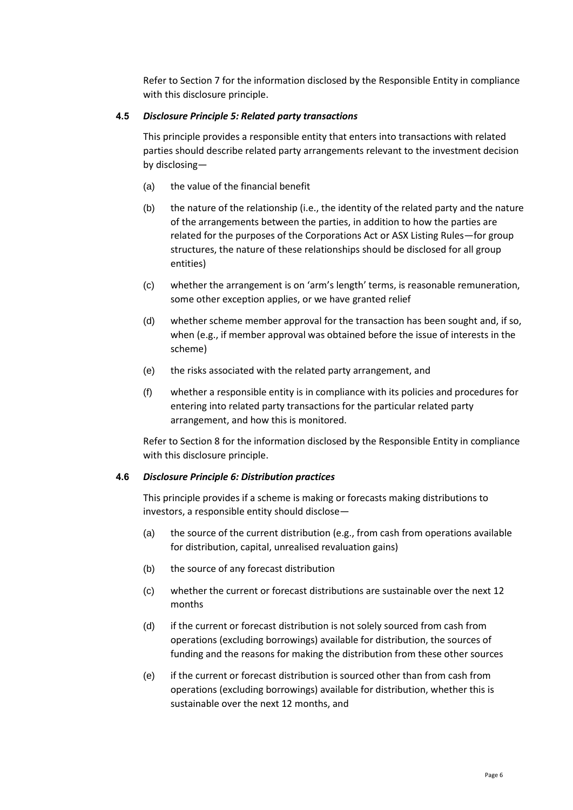Refer to Section [7](#page-10-1) for the information disclosed by the Responsible Entity in compliance with this disclosure principle.

# **4.5** *Disclosure Principle 5: Related party transactions*

This principle provides a responsible entity that enters into transactions with related parties should describe related party arrangements relevant to the investment decision by disclosing—

- (a) the value of the financial benefit
- (b) the nature of the relationship (i.e., the identity of the related party and the nature of the arrangements between the parties, in addition to how the parties are related for the purposes of the Corporations Act or ASX Listing Rules—for group structures, the nature of these relationships should be disclosed for all group entities)
- (c) whether the arrangement is on 'arm's length' terms, is reasonable remuneration, some other exception applies, or we have granted relief
- (d) whether scheme member approval for the transaction has been sought and, if so, when (e.g., if member approval was obtained before the issue of interests in the scheme)
- (e) the risks associated with the related party arrangement, and
- (f) whether a responsible entity is in compliance with its policies and procedures for entering into related party transactions for the particular related party arrangement, and how this is monitored.

Refer to Section 8 for the information disclosed by the Responsible Entity in compliance with this disclosure principle.

# **4.6** *Disclosure Principle 6: Distribution practices*

This principle provides if a scheme is making or forecasts making distributions to investors, a responsible entity should disclose—

- (a) the source of the current distribution (e.g., from cash from operations available for distribution, capital, unrealised revaluation gains)
- (b) the source of any forecast distribution
- (c) whether the current or forecast distributions are sustainable over the next 12 months
- (d) if the current or forecast distribution is not solely sourced from cash from operations (excluding borrowings) available for distribution, the sources of funding and the reasons for making the distribution from these other sources
- (e) if the current or forecast distribution is sourced other than from cash from operations (excluding borrowings) available for distribution, whether this is sustainable over the next 12 months, and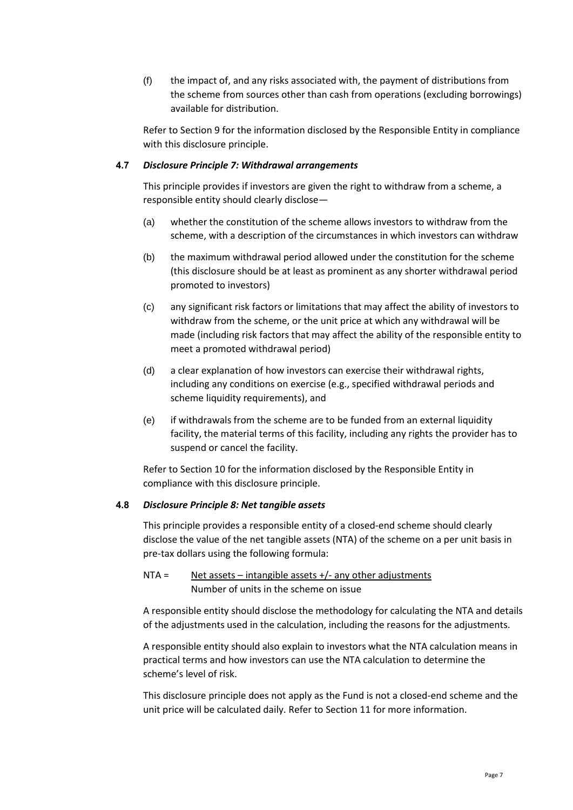(f) the impact of, and any risks associated with, the payment of distributions from the scheme from sources other than cash from operations (excluding borrowings) available for distribution.

Refer to Section [9](#page-14-0) for the information disclosed by the Responsible Entity in compliance with this disclosure principle.

# **4.7** *Disclosure Principle 7: Withdrawal arrangements*

This principle provides if investors are given the right to withdraw from a scheme, a responsible entity should clearly disclose—

- (a) whether the constitution of the scheme allows investors to withdraw from the scheme, with a description of the circumstances in which investors can withdraw
- (b) the maximum withdrawal period allowed under the constitution for the scheme (this disclosure should be at least as prominent as any shorter withdrawal period promoted to investors)
- (c) any significant risk factors or limitations that may affect the ability of investors to withdraw from the scheme, or the unit price at which any withdrawal will be made (including risk factors that may affect the ability of the responsible entity to meet a promoted withdrawal period)
- (d) a clear explanation of how investors can exercise their withdrawal rights, including any conditions on exercise (e.g., specified withdrawal periods and scheme liquidity requirements), and
- (e) if withdrawals from the scheme are to be funded from an external liquidity facility, the material terms of this facility, including any rights the provider has to suspend or cancel the facility.

Refer to Section [10](#page-15-0) for the information disclosed by the Responsible Entity in compliance with this disclosure principle.

### **4.8** *Disclosure Principle 8: Net tangible assets*

This principle provides a responsible entity of a closed-end scheme should clearly disclose the value of the net tangible assets (NTA) of the scheme on a per unit basis in pre-tax dollars using the following formula:

# NTA = Net assets – intangible assets  $+/-$  any other adjustments Number of units in the scheme on issue

A responsible entity should disclose the methodology for calculating the NTA and details of the adjustments used in the calculation, including the reasons for the adjustments.

A responsible entity should also explain to investors what the NTA calculation means in practical terms and how investors can use the NTA calculation to determine the scheme's level of risk.

This disclosure principle does not apply as the Fund is not a closed-end scheme and the unit price will be calculated daily. Refer to Section [11](#page-15-1) for more information.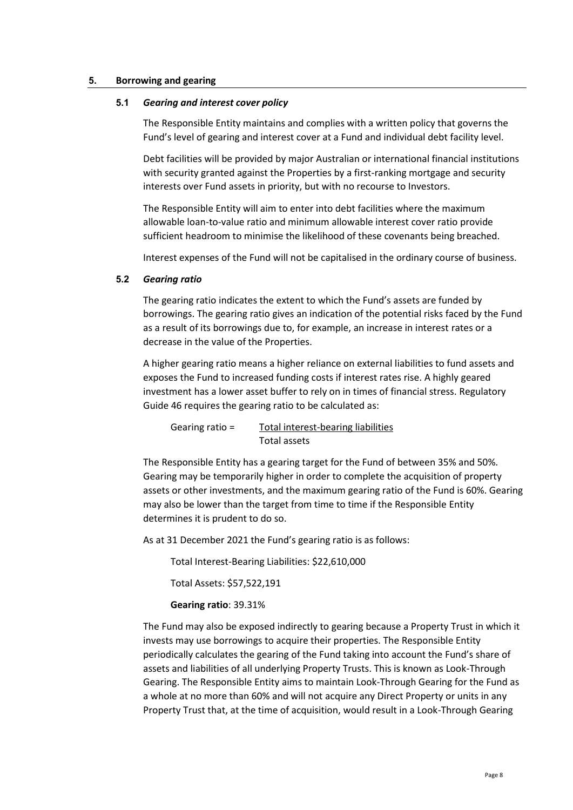#### <span id="page-8-0"></span>**5. Borrowing and gearing**

#### **5.1** *Gearing and interest cover policy*

The Responsible Entity maintains and complies with a written policy that governs the Fund's level of gearing and interest cover at a Fund and individual debt facility level.

Debt facilities will be provided by major Australian or international financial institutions with security granted against the Properties by a first-ranking mortgage and security interests over Fund assets in priority, but with no recourse to Investors.

The Responsible Entity will aim to enter into debt facilities where the maximum allowable loan-to-value ratio and minimum allowable interest cover ratio provide sufficient headroom to minimise the likelihood of these covenants being breached.

Interest expenses of the Fund will not be capitalised in the ordinary course of business.

### **5.2** *Gearing ratio*

The gearing ratio indicates the extent to which the Fund's assets are funded by borrowings. The gearing ratio gives an indication of the potential risks faced by the Fund as a result of its borrowings due to, for example, an increase in interest rates or a decrease in the value of the Properties.

A higher gearing ratio means a higher reliance on external liabilities to fund assets and exposes the Fund to increased funding costs if interest rates rise. A highly geared investment has a lower asset buffer to rely on in times of financial stress. Regulatory Guide 46 requires the gearing ratio to be calculated as:

Gearing ratio = Total interest-bearing liabilities Total assets

The Responsible Entity has a gearing target for the Fund of between 35% and 50%. Gearing may be temporarily higher in order to complete the acquisition of property assets or other investments, and the maximum gearing ratio of the Fund is 60%. Gearing may also be lower than the target from time to time if the Responsible Entity determines it is prudent to do so.

As at 31 December 2021 the Fund's gearing ratio is as follows:

Total Interest-Bearing Liabilities: \$22,610,000

Total Assets: \$57,522,191

**Gearing ratio**: 39.31%

The Fund may also be exposed indirectly to gearing because a Property Trust in which it invests may use borrowings to acquire their properties. The Responsible Entity periodically calculates the gearing of the Fund taking into account the Fund's share of assets and liabilities of all underlying Property Trusts. This is known as Look-Through Gearing. The Responsible Entity aims to maintain Look-Through Gearing for the Fund as a whole at no more than 60% and will not acquire any Direct Property or units in any Property Trust that, at the time of acquisition, would result in a Look-Through Gearing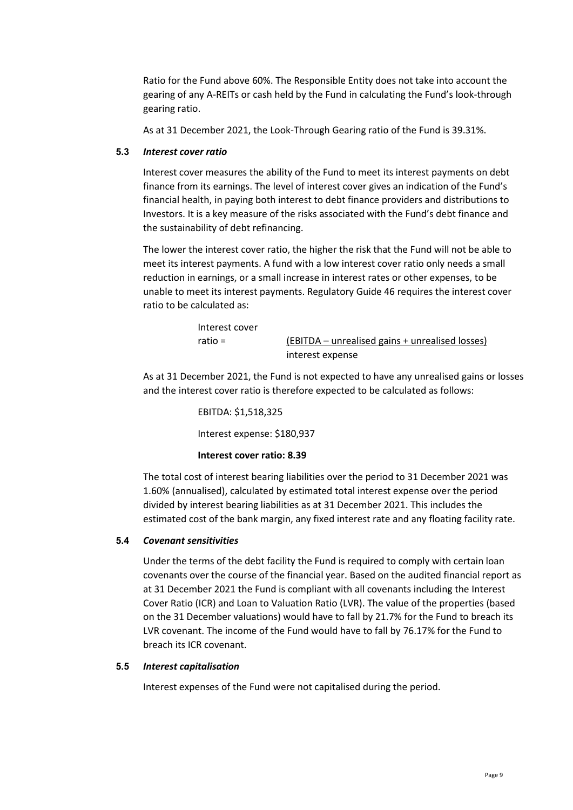Ratio for the Fund above 60%. The Responsible Entity does not take into account the gearing of any A-REITs or cash held by the Fund in calculating the Fund's look-through gearing ratio.

As at 31 December 2021, the Look-Through Gearing ratio of the Fund is 39.31%.

### **5.3** *Interest cover ratio*

Interest cover measures the ability of the Fund to meet its interest payments on debt finance from its earnings. The level of interest cover gives an indication of the Fund's financial health, in paying both interest to debt finance providers and distributions to Investors. It is a key measure of the risks associated with the Fund's debt finance and the sustainability of debt refinancing.

The lower the interest cover ratio, the higher the risk that the Fund will not be able to meet its interest payments. A fund with a low interest cover ratio only needs a small reduction in earnings, or a small increase in interest rates or other expenses, to be unable to meet its interest payments. Regulatory Guide 46 requires the interest cover ratio to be calculated as:

| Interest cover |                                                 |
|----------------|-------------------------------------------------|
| ratio =        | (EBITDA – unrealised gains + unrealised losses) |
|                | interest expense                                |

As at 31 December 2021, the Fund is not expected to have any unrealised gains or losses and the interest cover ratio is therefore expected to be calculated as follows:

> EBITDA: \$1,518,325 Interest expense: \$180,937

### **Interest cover ratio: 8.39**

The total cost of interest bearing liabilities over the period to 31 December 2021 was 1.60% (annualised), calculated by estimated total interest expense over the period divided by interest bearing liabilities as at 31 December 2021. This includes the estimated cost of the bank margin, any fixed interest rate and any floating facility rate.

# **5.4** *Covenant sensitivities*

Under the terms of the debt facility the Fund is required to comply with certain loan covenants over the course of the financial year. Based on the audited financial report as at 31 December 2021 the Fund is compliant with all covenants including the Interest Cover Ratio (ICR) and Loan to Valuation Ratio (LVR). The value of the properties (based on the 31 December valuations) would have to fall by 21.7% for the Fund to breach its LVR covenant. The income of the Fund would have to fall by 76.17% for the Fund to breach its ICR covenant.

### **5.5** *Interest capitalisation*

Interest expenses of the Fund were not capitalised during the period.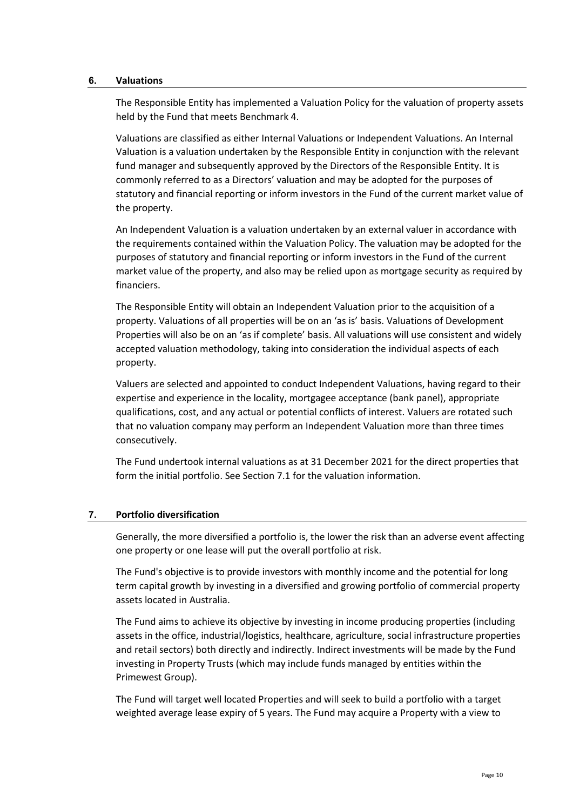#### <span id="page-10-0"></span>**6. Valuations**

The Responsible Entity has implemented a Valuation Policy for the valuation of property assets held by the Fund that meets Benchmark 4.

Valuations are classified as either Internal Valuations or Independent Valuations. An Internal Valuation is a valuation undertaken by the Responsible Entity in conjunction with the relevant fund manager and subsequently approved by the Directors of the Responsible Entity. It is commonly referred to as a Directors' valuation and may be adopted for the purposes of statutory and financial reporting or inform investors in the Fund of the current market value of the property.

An Independent Valuation is a valuation undertaken by an external valuer in accordance with the requirements contained within the Valuation Policy. The valuation may be adopted for the purposes of statutory and financial reporting or inform investors in the Fund of the current market value of the property, and also may be relied upon as mortgage security as required by financiers.

The Responsible Entity will obtain an Independent Valuation prior to the acquisition of a property. Valuations of all properties will be on an 'as is' basis. Valuations of Development Properties will also be on an 'as if complete' basis. All valuations will use consistent and widely accepted valuation methodology, taking into consideration the individual aspects of each property.

Valuers are selected and appointed to conduct Independent Valuations, having regard to their expertise and experience in the locality, mortgagee acceptance (bank panel), appropriate qualifications, cost, and any actual or potential conflicts of interest. Valuers are rotated such that no valuation company may perform an Independent Valuation more than three times consecutively.

The Fund undertook internal valuations as at 31 December 2021 for the direct properties that form the initial portfolio. See Section [7.1](#page-11-0) for the valuation information.

### <span id="page-10-1"></span>**7. Portfolio diversification**

Generally, the more diversified a portfolio is, the lower the risk than an adverse event affecting one property or one lease will put the overall portfolio at risk.

The Fund's objective is to provide investors with monthly income and the potential for long term capital growth by investing in a diversified and growing portfolio of commercial property assets located in Australia.

The Fund aims to achieve its objective by investing in income producing properties (including assets in the office, industrial/logistics, healthcare, agriculture, social infrastructure properties and retail sectors) both directly and indirectly. Indirect investments will be made by the Fund investing in Property Trusts (which may include funds managed by entities within the Primewest Group).

The Fund will target well located Properties and will seek to build a portfolio with a target weighted average lease expiry of 5 years. The Fund may acquire a Property with a view to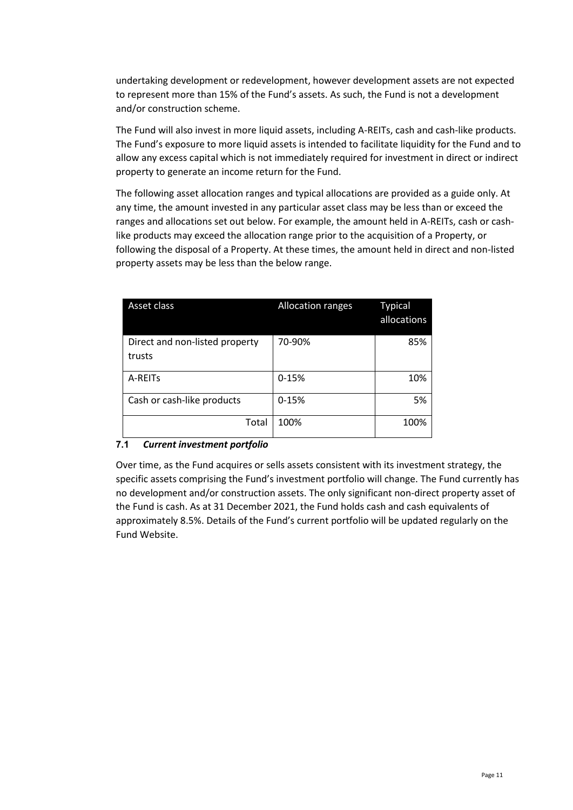undertaking development or redevelopment, however development assets are not expected to represent more than 15% of the Fund's assets. As such, the Fund is not a development and/or construction scheme.

The Fund will also invest in more liquid assets, including A-REITs, cash and cash-like products. The Fund's exposure to more liquid assets is intended to facilitate liquidity for the Fund and to allow any excess capital which is not immediately required for investment in direct or indirect property to generate an income return for the Fund.

The following asset allocation ranges and typical allocations are provided as a guide only. At any time, the amount invested in any particular asset class may be less than or exceed the ranges and allocations set out below. For example, the amount held in A-REITs, cash or cashlike products may exceed the allocation range prior to the acquisition of a Property, or following the disposal of a Property. At these times, the amount held in direct and non-listed property assets may be less than the below range.

| Asset class                              | <b>Allocation ranges</b> | <b>Typical</b><br>allocations |
|------------------------------------------|--------------------------|-------------------------------|
| Direct and non-listed property<br>trusts | 70-90%                   | 85%                           |
| A-REITS                                  | $0 - 15%$                | 10%                           |
| Cash or cash-like products               | $0 - 15%$                | 5%                            |
| Total                                    | 100%                     | 100%                          |

# <span id="page-11-0"></span>**7.1** *Current investment portfolio*

Over time, as the Fund acquires or sells assets consistent with its investment strategy, the specific assets comprising the Fund's investment portfolio will change. The Fund currently has no development and/or construction assets. The only significant non-direct property asset of the Fund is cash. As at 31 December 2021, the Fund holds cash and cash equivalents of approximately 8.5%. Details of the Fund's current portfolio will be updated regularly on the Fund Website.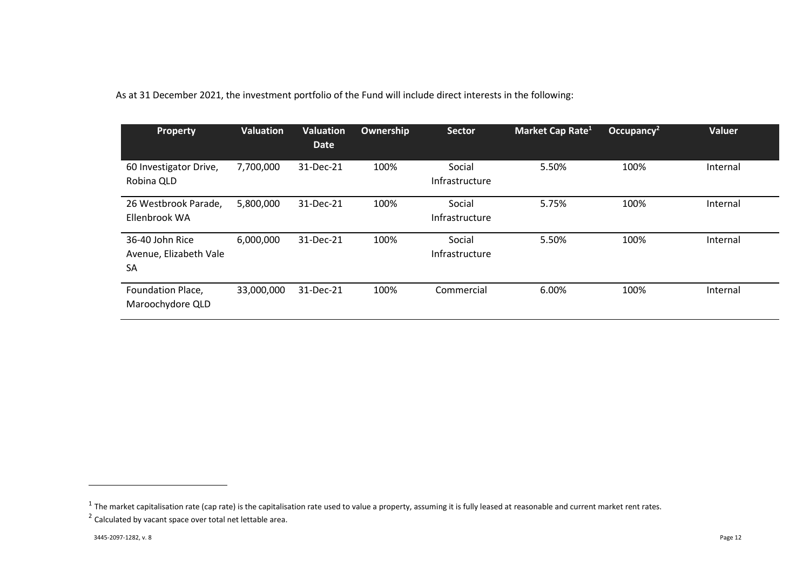As at 31 December 2021, the investment portfolio of the Fund will include direct interests in the following:

| <b>Property</b>                                 | <b>Valuation</b> | <b>Valuation</b><br><b>Date</b> | Ownership | <b>Sector</b>            | Market Cap Rate <sup>1</sup> | Occupancy <sup>2</sup> | <b>Valuer</b> |
|-------------------------------------------------|------------------|---------------------------------|-----------|--------------------------|------------------------------|------------------------|---------------|
| 60 Investigator Drive,<br>Robina QLD            | 7,700,000        | 31-Dec-21                       | 100%      | Social<br>Infrastructure | 5.50%                        | 100%                   | Internal      |
| 26 Westbrook Parade,<br>Ellenbrook WA           | 5,800,000        | 31-Dec-21                       | 100%      | Social<br>Infrastructure | 5.75%                        | 100%                   | Internal      |
| 36-40 John Rice<br>Avenue, Elizabeth Vale<br>SA | 6,000,000        | 31-Dec-21                       | 100%      | Social<br>Infrastructure | 5.50%                        | 100%                   | Internal      |
| Foundation Place,<br>Maroochydore QLD           | 33,000,000       | 31-Dec-21                       | 100%      | Commercial               | 6.00%                        | 100%                   | Internal      |

 $^1$  The market capitalisation rate (cap rate) is the capitalisation rate used to value a property, assuming it is fully leased at reasonable and current market rent rates.

 $2$  Calculated by vacant space over total net lettable area.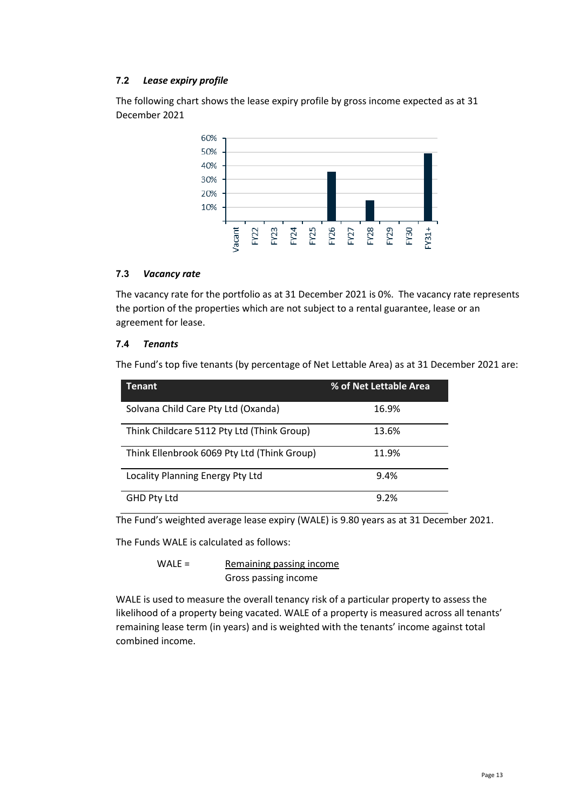# **7.2** *Lease expiry profile*

The following chart shows the lease expiry profile by gross income expected as at 31 December 2021



# **7.3** *Vacancy rate*

The vacancy rate for the portfolio as at 31 December 2021 is 0%. The vacancy rate represents the portion of the properties which are not subject to a rental guarantee, lease or an agreement for lease.

# **7.4** *Tenants*

The Fund's top five tenants (by percentage of Net Lettable Area) as at 31 December 2021 are:

| <b>Tenant</b>                               | % of Net Lettable Area |
|---------------------------------------------|------------------------|
| Solvana Child Care Pty Ltd (Oxanda)         | 16.9%                  |
| Think Childcare 5112 Pty Ltd (Think Group)  | 13.6%                  |
| Think Ellenbrook 6069 Pty Ltd (Think Group) | 11.9%                  |
| Locality Planning Energy Pty Ltd            | 9.4%                   |
| <b>GHD Pty Ltd</b>                          | 9.2%                   |

The Fund's weighted average lease expiry (WALE) is 9.80 years as at 31 December 2021.

The Funds WALE is calculated as follows:

WALE = Remaining passing income Gross passing income

WALE is used to measure the overall tenancy risk of a particular property to assess the likelihood of a property being vacated. WALE of a property is measured across all tenants' remaining lease term (in years) and is weighted with the tenants' income against total combined income.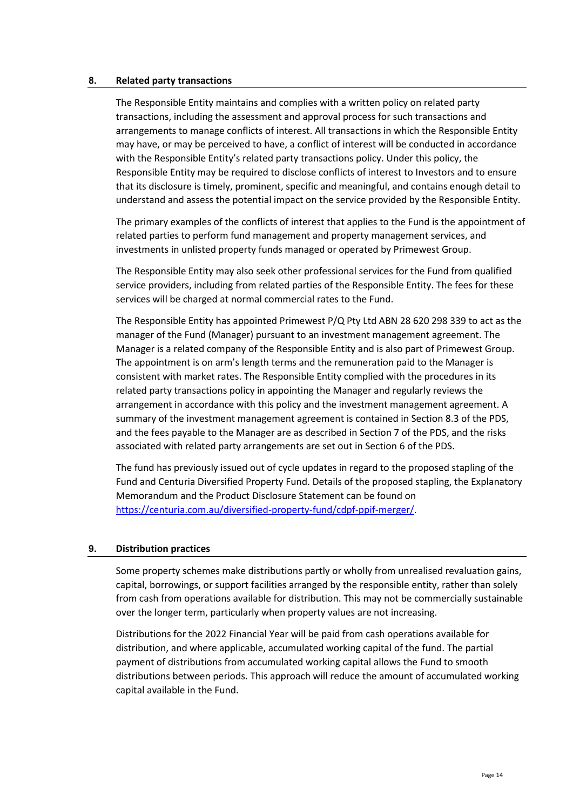#### **8. Related party transactions**

The Responsible Entity maintains and complies with a written policy on related party transactions, including the assessment and approval process for such transactions and arrangements to manage conflicts of interest. All transactions in which the Responsible Entity may have, or may be perceived to have, a conflict of interest will be conducted in accordance with the Responsible Entity's related party transactions policy. Under this policy, the Responsible Entity may be required to disclose conflicts of interest to Investors and to ensure that its disclosure is timely, prominent, specific and meaningful, and contains enough detail to understand and assess the potential impact on the service provided by the Responsible Entity.

The primary examples of the conflicts of interest that applies to the Fund is the appointment of related parties to perform fund management and property management services, and investments in unlisted property funds managed or operated by Primewest Group.

The Responsible Entity may also seek other professional services for the Fund from qualified service providers, including from related parties of the Responsible Entity. The fees for these services will be charged at normal commercial rates to the Fund.

The Responsible Entity has appointed Primewest P/Q Pty Ltd ABN 28 620 298 339 to act as the manager of the Fund (Manager) pursuant to an investment management agreement. The Manager is a related company of the Responsible Entity and is also part of Primewest Group. The appointment is on arm's length terms and the remuneration paid to the Manager is consistent with market rates. The Responsible Entity complied with the procedures in its related party transactions policy in appointing the Manager and regularly reviews the arrangement in accordance with this policy and the investment management agreement. A summary of the investment management agreement is contained in Section 8.3 of the PDS, and the fees payable to the Manager are as described in Section 7 of the PDS, and the risks associated with related party arrangements are set out in Section 6 of the PDS.

The fund has previously issued out of cycle updates in regard to the proposed stapling of the Fund and Centuria Diversified Property Fund. Details of the proposed stapling, the Explanatory Memorandum and the Product Disclosure Statement can be found on [https://centuria.com.au/diversified-property-fund/cdpf-ppif-merger/.](https://centuria.com.au/diversified-property-fund/cdpf-ppif-merger/)

### <span id="page-14-0"></span>**9. Distribution practices**

Some property schemes make distributions partly or wholly from unrealised revaluation gains, capital, borrowings, or support facilities arranged by the responsible entity, rather than solely from cash from operations available for distribution. This may not be commercially sustainable over the longer term, particularly when property values are not increasing.

Distributions for the 2022 Financial Year will be paid from cash operations available for distribution, and where applicable, accumulated working capital of the fund. The partial payment of distributions from accumulated working capital allows the Fund to smooth distributions between periods. This approach will reduce the amount of accumulated working capital available in the Fund.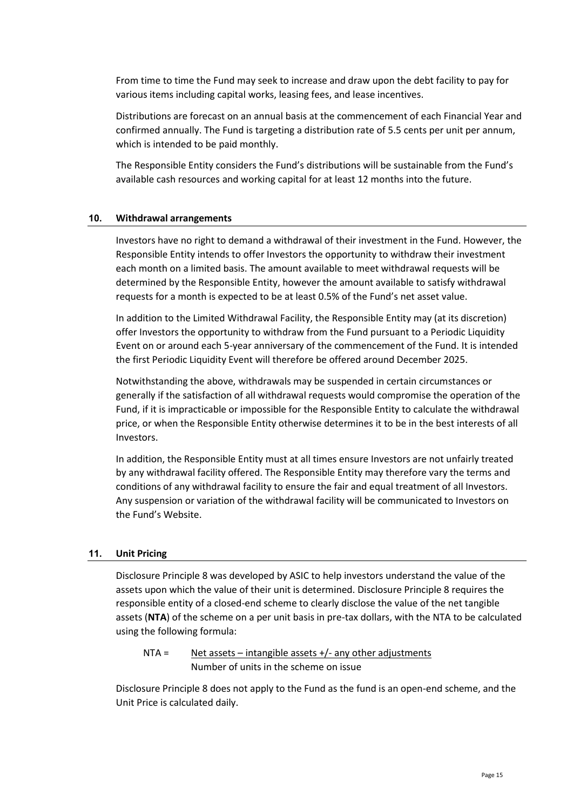From time to time the Fund may seek to increase and draw upon the debt facility to pay for various items including capital works, leasing fees, and lease incentives.

Distributions are forecast on an annual basis at the commencement of each Financial Year and confirmed annually. The Fund is targeting a distribution rate of 5.5 cents per unit per annum, which is intended to be paid monthly.

The Responsible Entity considers the Fund's distributions will be sustainable from the Fund's available cash resources and working capital for at least 12 months into the future.

### <span id="page-15-0"></span>**10. Withdrawal arrangements**

Investors have no right to demand a withdrawal of their investment in the Fund. However, the Responsible Entity intends to offer Investors the opportunity to withdraw their investment each month on a limited basis. The amount available to meet withdrawal requests will be determined by the Responsible Entity, however the amount available to satisfy withdrawal requests for a month is expected to be at least 0.5% of the Fund's net asset value.

In addition to the Limited Withdrawal Facility, the Responsible Entity may (at its discretion) offer Investors the opportunity to withdraw from the Fund pursuant to a Periodic Liquidity Event on or around each 5-year anniversary of the commencement of the Fund. It is intended the first Periodic Liquidity Event will therefore be offered around December 2025.

Notwithstanding the above, withdrawals may be suspended in certain circumstances or generally if the satisfaction of all withdrawal requests would compromise the operation of the Fund, if it is impracticable or impossible for the Responsible Entity to calculate the withdrawal price, or when the Responsible Entity otherwise determines it to be in the best interests of all Investors.

In addition, the Responsible Entity must at all times ensure Investors are not unfairly treated by any withdrawal facility offered. The Responsible Entity may therefore vary the terms and conditions of any withdrawal facility to ensure the fair and equal treatment of all Investors. Any suspension or variation of the withdrawal facility will be communicated to Investors on the Fund's Website.

### <span id="page-15-1"></span>**11. Unit Pricing**

Disclosure Principle 8 was developed by ASIC to help investors understand the value of the assets upon which the value of their unit is determined. Disclosure Principle 8 requires the responsible entity of a closed-end scheme to clearly disclose the value of the net tangible assets (**NTA**) of the scheme on a per unit basis in pre-tax dollars, with the NTA to be calculated using the following formula:

$$
NTA =
$$
  
\nNet assets – intangible assets +/- any other adjustments  
\nNumber of units in the scheme on issue

Disclosure Principle 8 does not apply to the Fund as the fund is an open-end scheme, and the Unit Price is calculated daily.